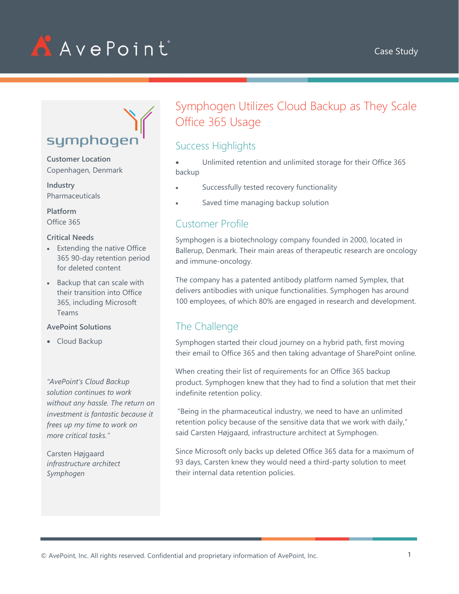

# symphogen

**Customer Location** Copenhagen, Denmark

**Industry** Pharmaceuticals

**Platform** Office 365

#### **Critical Needs**

- Extending the native Office 365 90-day retention period for deleted content
- Backup that can scale with their transition into Office 365, including Microsoft Teams

#### **AvePoint Solutions**

• Cloud Backup

*"AvePoint's Cloud Backup solution continues to work without any hassle. The return on investment is fantastic because it frees up my time to work on more critical tasks."*

Carsten Højgaard *infrastructure architect Symphogen*

## Symphogen Utilizes Cloud Backup as They Scale Office 365 Usage

## Success Highlights

• Unlimited retention and unlimited storage for their Office 365 backup

- Successfully tested recovery functionality
- Saved time managing backup solution

#### Customer Profile

Symphogen is a biotechnology company founded in 2000, located in Ballerup, Denmark. Their main areas of therapeutic research are oncology and immune-oncology.

The company has a patented antibody platform named Symplex, that delivers antibodies with unique functionalities. Symphogen has around 100 employees, of which 80% are engaged in research and development.

## The Challenge

Symphogen started their cloud journey on a hybrid path, first moving their email to Office 365 and then taking advantage of SharePoint online.

When creating their list of requirements for an Office 365 backup product. Symphogen knew that they had to find a solution that met their indefinite retention policy.

"Being in the pharmaceutical industry, we need to have an unlimited retention policy because of the sensitive data that we work with daily," said Carsten Højgaard, infrastructure architect at Symphogen.

Since Microsoft only backs up deleted Office 365 data for a maximum of 93 days, Carsten knew they would need a third-party solution to meet their internal data retention policies.